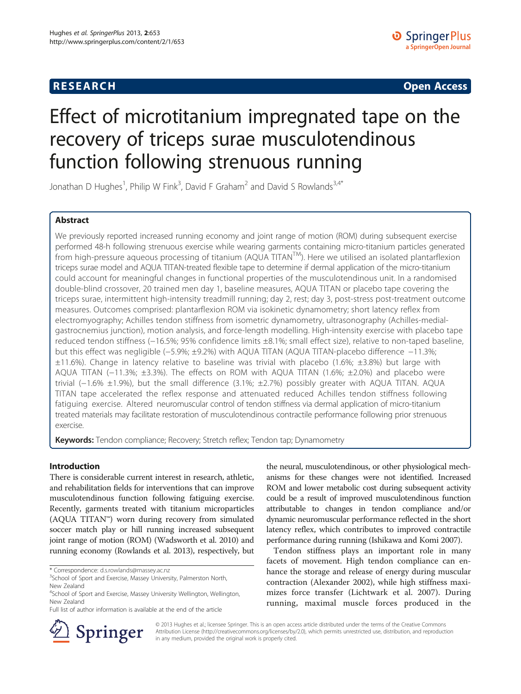## **RESEARCH CHINESE ARCH CHINESE ARCH CHINESE ARCH <b>CHINESE ARCH**

# Effect of microtitanium impregnated tape on the recovery of triceps surae musculotendinous function following strenuous running

Jonathan D Hughes<sup>1</sup>, Philip W Fink<sup>3</sup>, David F Graham<sup>2</sup> and David S Rowlands<sup>3,4\*</sup>

## Abstract

We previously reported increased running economy and joint range of motion (ROM) during subsequent exercise performed 48-h following strenuous exercise while wearing garments containing micro-titanium particles generated from high-pressure aqueous processing of titanium (AQUA TITAN<sup>TM</sup>). Here we utilised an isolated plantarflexion triceps surae model and AQUA TITAN-treated flexible tape to determine if dermal application of the micro-titanium could account for meaningful changes in functional properties of the musculotendinous unit. In a randomised double-blind crossover, 20 trained men day 1, baseline measures, AQUA TITAN or placebo tape covering the triceps surae, intermittent high-intensity treadmill running; day 2, rest; day 3, post-stress post-treatment outcome measures. Outcomes comprised: plantarflexion ROM via isokinetic dynamometry; short latency reflex from electromyography; Achilles tendon stiffness from isometric dynamometry, ultrasonography (Achilles-medialgastrocnemius junction), motion analysis, and force-length modelling. High-intensity exercise with placebo tape reduced tendon stiffness (−16.5%; 95% confidence limits ±8.1%; small effect size), relative to non-taped baseline, but this effect was negligible (−5.9%; ±9.2%) with AQUA TITAN (AQUA TITAN-placebo difference −11.3%;  $\pm$ 11.6%). Change in latency relative to baseline was trivial with placebo (1.6%;  $\pm$ 3.8%) but large with AQUA TITAN (−11.3%; ±3.3%). The effects on ROM with AQUA TITAN (1.6%; ±2.0%) and placebo were trivial (−1.6% ±1.9%), but the small difference (3.1%; ±2.7%) possibly greater with AQUA TITAN. AQUA TITAN tape accelerated the reflex response and attenuated reduced Achilles tendon stiffness following fatiguing exercise. Altered neuromuscular control of tendon stiffness via dermal application of micro-titanium treated materials may facilitate restoration of musculotendinous contractile performance following prior strenuous exercise.

Keywords: Tendon compliance; Recovery; Stretch reflex; Tendon tap; Dynamometry

## Introduction

There is considerable current interest in research, athletic, and rehabilitation fields for interventions that can improve musculotendinous function following fatiguing exercise. Recently, garments treated with titanium microparticles (AQUA TITAN™) worn during recovery from simulated soccer match play or hill running increased subsequent joint range of motion (ROM) (Wadsworth et al. [2010\)](#page-9-0) and running economy (Rowlands et al. [2013\)](#page-9-0), respectively, but

the neural, musculotendinous, or other physiological mechanisms for these changes were not identified. Increased ROM and lower metabolic cost during subsequent activity could be a result of improved musculotendinous function attributable to changes in tendon compliance and/or dynamic neuromuscular performance reflected in the short latency reflex, which contributes to improved contractile performance during running (Ishikawa and Komi [2007\)](#page-8-0).

Tendon stiffness plays an important role in many facets of movement. High tendon compliance can enhance the storage and release of energy during muscular contraction (Alexander [2002](#page-8-0)), while high stiffness maximizes force transfer (Lichtwark et al. [2007\)](#page-8-0). During running, maximal muscle forces produced in the



© 2013 Hughes et al.; licensee Springer. This is an open access article distributed under the terms of the Creative Commons Attribution License [\(http://creativecommons.org/licenses/by/2.0\)](http://creativecommons.org/licenses/by/2.0), which permits unrestricted use, distribution, and reproduction in any medium, provided the original work is properly cited.

<sup>\*</sup> Correspondence: [d.s.rowlands@massey.ac.nz](mailto:d.s.rowlands@massey.ac.nz) <sup>3</sup>

<sup>&</sup>lt;sup>3</sup>School of Sport and Exercise, Massey University, Palmerston North, New Zealand

<sup>&</sup>lt;sup>4</sup>School of Sport and Exercise, Massey University Wellington, Wellington, New Zealand

Full list of author information is available at the end of the article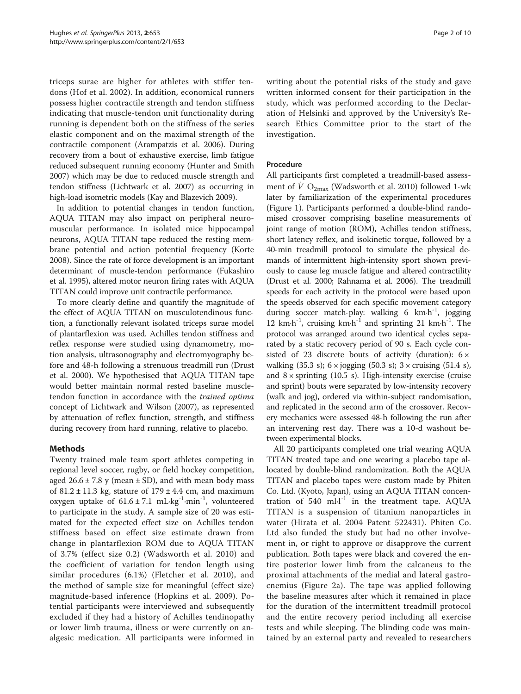triceps surae are higher for athletes with stiffer tendons (Hof et al. [2002\)](#page-8-0). In addition, economical runners possess higher contractile strength and tendon stiffness indicating that muscle-tendon unit functionality during running is dependent both on the stiffness of the series elastic component and on the maximal strength of the contractile component (Arampatzis et al. [2006](#page-8-0)). During recovery from a bout of exhaustive exercise, limb fatigue reduced subsequent running economy (Hunter and Smith [2007\)](#page-8-0) which may be due to reduced muscle strength and tendon stiffness (Lichtwark et al. [2007\)](#page-8-0) as occurring in high-load isometric models (Kay and Blazevich [2009\)](#page-8-0).

In addition to potential changes in tendon function, AQUA TITAN may also impact on peripheral neuromuscular performance. In isolated mice hippocampal neurons, AQUA TITAN tape reduced the resting membrane potential and action potential frequency (Korte [2008](#page-8-0)). Since the rate of force development is an important determinant of muscle-tendon performance (Fukashiro et al. [1995](#page-8-0)), altered motor neuron firing rates with AQUA TITAN could improve unit contractile performance.

To more clearly define and quantify the magnitude of the effect of AQUA TITAN on musculotendinous function, a functionally relevant isolated triceps surae model of plantarflexion was used. Achilles tendon stiffness and reflex response were studied using dynamometry, motion analysis, ultrasonography and electromyography before and 48-h following a strenuous treadmill run (Drust et al. [2000](#page-8-0)). We hypothesised that AQUA TITAN tape would better maintain normal rested baseline muscletendon function in accordance with the trained optima concept of Lichtwark and Wilson ([2007](#page-8-0)), as represented by attenuation of reflex function, strength, and stiffness during recovery from hard running, relative to placebo.

## Methods

Twenty trained male team sport athletes competing in regional level soccer, rugby, or field hockey competition, aged  $26.6 \pm 7.8$  y (mean  $\pm$  SD), and with mean body mass of  $81.2 \pm 11.3$  kg, stature of  $179 \pm 4.4$  cm, and maximum oxygen uptake of  $61.6 \pm 7.1$  mL·kg<sup>-1</sup>·min<sup>-1</sup>, volunteered to participate in the study. A sample size of 20 was estimated for the expected effect size on Achilles tendon stiffness based on effect size estimate drawn from change in plantarflexion ROM due to AQUA TITAN of 3.7% (effect size 0.2) (Wadsworth et al. [2010](#page-9-0)) and the coefficient of variation for tendon length using similar procedures (6.1%) (Fletcher et al. [2010](#page-8-0)), and the method of sample size for meaningful (effect size) magnitude-based inference (Hopkins et al. [2009](#page-8-0)). Potential participants were interviewed and subsequently excluded if they had a history of Achilles tendinopathy or lower limb trauma, illness or were currently on analgesic medication. All participants were informed in writing about the potential risks of the study and gave written informed consent for their participation in the study, which was performed according to the Declaration of Helsinki and approved by the University's Research Ethics Committee prior to the start of the investigation.

## Procedure

All participants first completed a treadmill-based assessment of  $\dot{V}$  O<sub>2max</sub> (Wadsworth et al. [2010\)](#page-9-0) followed 1-wk later by familiarization of the experimental procedures (Figure [1\)](#page-2-0). Participants performed a double-blind randomised crossover comprising baseline measurements of joint range of motion (ROM), Achilles tendon stiffness, short latency reflex, and isokinetic torque, followed by a 40-min treadmill protocol to simulate the physical demands of intermittent high-intensity sport shown previously to cause leg muscle fatigue and altered contractility (Drust et al. [2000](#page-8-0); Rahnama et al. [2006\)](#page-9-0). The treadmill speeds for each activity in the protocol were based upon the speeds observed for each specific movement category during soccer match-play: walking 6  $km\cdot h^{-1}$ , jogging 12 km $\cdot$ h<sup>-1</sup>, cruising km $\cdot$ h<sup>-1</sup> and sprinting 21 km $\cdot$ h<sup>-1</sup>. The protocol was arranged around two identical cycles separated by a static recovery period of 90 s. Each cycle consisted of 23 discrete bouts of activity (duration):  $6 \times$ walking (35.3 s);  $6 \times$  jogging (50.3 s);  $3 \times$  cruising (51.4 s), and  $8 \times$  sprinting (10.5 s). High-intensity exercise (cruise and sprint) bouts were separated by low-intensity recovery (walk and jog), ordered via within-subject randomisation, and replicated in the second arm of the crossover. Recovery mechanics were assessed 48-h following the run after an intervening rest day. There was a 10-d washout between experimental blocks.

All 20 participants completed one trial wearing AQUA TITAN treated tape and one wearing a placebo tape allocated by double-blind randomization. Both the AQUA TITAN and placebo tapes were custom made by Phiten Co. Ltd. (Kyoto, Japan), using an AQUA TITAN concentration of 540 ml $\cdot$ l<sup>-1</sup> in the treatment tape. AQUA TITAN is a suspension of titanium nanoparticles in water (Hirata et al. [2004](#page-8-0) Patent 522431). Phiten Co. Ltd also funded the study but had no other involvement in, or right to approve or disapprove the current publication. Both tapes were black and covered the entire posterior lower limb from the calcaneus to the proximal attachments of the medial and lateral gastrocnemius (Figure [2a](#page-3-0)). The tape was applied following the baseline measures after which it remained in place for the duration of the intermittent treadmill protocol and the entire recovery period including all exercise tests and while sleeping. The blinding code was maintained by an external party and revealed to researchers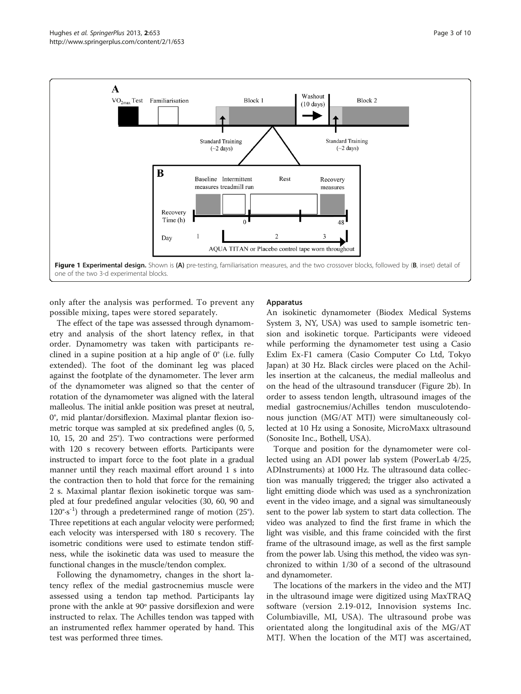<span id="page-2-0"></span>

only after the analysis was performed. To prevent any possible mixing, tapes were stored separately.

The effect of the tape was assessed through dynamometry and analysis of the short latency reflex, in that order. Dynamometry was taken with participants reclined in a supine position at a hip angle of 0° (i.e. fully extended). The foot of the dominant leg was placed against the footplate of the dynamometer. The lever arm of the dynamometer was aligned so that the center of rotation of the dynamometer was aligned with the lateral malleolus. The initial ankle position was preset at neutral, 0°, mid plantar/dorsiflexion. Maximal plantar flexion isometric torque was sampled at six predefined angles (0, 5, 10, 15, 20 and 25°). Two contractions were performed with 120 s recovery between efforts. Participants were instructed to impart force to the foot plate in a gradual manner until they reach maximal effort around 1 s into the contraction then to hold that force for the remaining 2 s. Maximal plantar flexion isokinetic torque was sampled at four predefined angular velocities (30, 60, 90 and  $120°·s^{-1}$ ) through a predetermined range of motion (25°). Three repetitions at each angular velocity were performed; each velocity was interspersed with 180 s recovery. The isometric conditions were used to estimate tendon stiffness, while the isokinetic data was used to measure the functional changes in the muscle/tendon complex.

Following the dynamometry, changes in the short latency reflex of the medial gastrocnemius muscle were assessed using a tendon tap method. Participants lay prone with the ankle at 90º passive dorsiflexion and were instructed to relax. The Achilles tendon was tapped with an instrumented reflex hammer operated by hand. This test was performed three times.

#### Apparatus

An isokinetic dynamometer (Biodex Medical Systems System 3, NY, USA) was used to sample isometric tension and isokinetic torque. Participants were videoed while performing the dynamometer test using a Casio Exlim Ex-F1 camera (Casio Computer Co Ltd, Tokyo Japan) at 30 Hz. Black circles were placed on the Achilles insertion at the calcaneus, the medial malleolus and on the head of the ultrasound transducer (Figure [2](#page-3-0)b). In order to assess tendon length, ultrasound images of the medial gastrocnemius/Achilles tendon musculotendonous junction (MG/AT MTJ) were simultaneously collected at 10 Hz using a Sonosite, MicroMaxx ultrasound (Sonosite Inc., Bothell, USA).

Torque and position for the dynamometer were collected using an ADI power lab system (PowerLab 4/25, ADInstruments) at 1000 Hz. The ultrasound data collection was manually triggered; the trigger also activated a light emitting diode which was used as a synchronization event in the video image, and a signal was simultaneously sent to the power lab system to start data collection. The video was analyzed to find the first frame in which the light was visible, and this frame coincided with the first frame of the ultrasound image, as well as the first sample from the power lab. Using this method, the video was synchronized to within 1/30 of a second of the ultrasound and dynamometer.

The locations of the markers in the video and the MTJ in the ultrasound image were digitized using MaxTRAQ software (version 2.19-012, Innovision systems Inc. Columbiaville, MI, USA). The ultrasound probe was orientated along the longitudinal axis of the MG/AT MTJ. When the location of the MTJ was ascertained,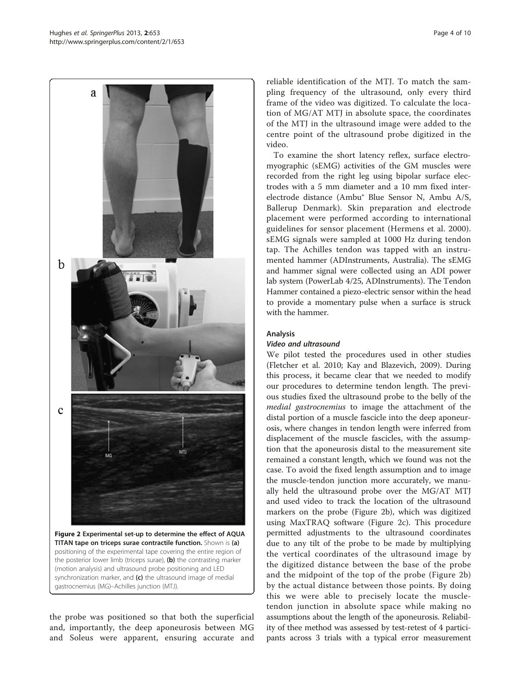<span id="page-3-0"></span>

(motion analysis) and ultrasound probe positioning and LED synchronization marker, and  $(c)$  the ultrasound image of medial gastrocnemius (MG)–Achilles junction (MTJ).

the probe was positioned so that both the superficial and, importantly, the deep aponeurosis between MG and Soleus were apparent, ensuring accurate and

reliable identification of the MTJ. To match the sampling frequency of the ultrasound, only every third frame of the video was digitized. To calculate the location of MG/AT MTJ in absolute space, the coordinates of the MTJ in the ultrasound image were added to the centre point of the ultrasound probe digitized in the video.

To examine the short latency reflex, surface electromyographic (sEMG) activities of the GM muscles were recorded from the right leg using bipolar surface electrodes with a 5 mm diameter and a 10 mm fixed interelectrode distance (Ambu® Blue Sensor N, Ambu A/S, Ballerup Denmark). Skin preparation and electrode placement were performed according to international guidelines for sensor placement (Hermens et al. [2000](#page-8-0)). sEMG signals were sampled at 1000 Hz during tendon tap. The Achilles tendon was tapped with an instrumented hammer (ADInstruments, Australia). The sEMG and hammer signal were collected using an ADI power lab system (PowerLab 4/25, ADInstruments). The Tendon Hammer contained a piezo-electric sensor within the head to provide a momentary pulse when a surface is struck with the hammer.

#### Analysis

#### Video and ultrasound

We pilot tested the procedures used in other studies (Fletcher et al. [2010](#page-8-0); Kay and Blazevich, [2009](#page-8-0)). During this process, it became clear that we needed to modify our procedures to determine tendon length. The previous studies fixed the ultrasound probe to the belly of the medial gastrocnemius to image the attachment of the distal portion of a muscle fascicle into the deep aponeurosis, where changes in tendon length were inferred from displacement of the muscle fascicles, with the assumption that the aponeurosis distal to the measurement site remained a constant length, which we found was not the case. To avoid the fixed length assumption and to image the muscle-tendon junction more accurately, we manually held the ultrasound probe over the MG/AT MTJ and used video to track the location of the ultrasound markers on the probe (Figure 2b), which was digitized using MaxTRAQ software (Figure 2c). This procedure permitted adjustments to the ultrasound coordinates due to any tilt of the probe to be made by multiplying the vertical coordinates of the ultrasound image by the digitized distance between the base of the probe and the midpoint of the top of the probe (Figure 2b) by the actual distance between those points. By doing this we were able to precisely locate the muscletendon junction in absolute space while making no assumptions about the length of the aponeurosis. Reliability of thee method was assessed by test-retest of 4 participants across 3 trials with a typical error measurement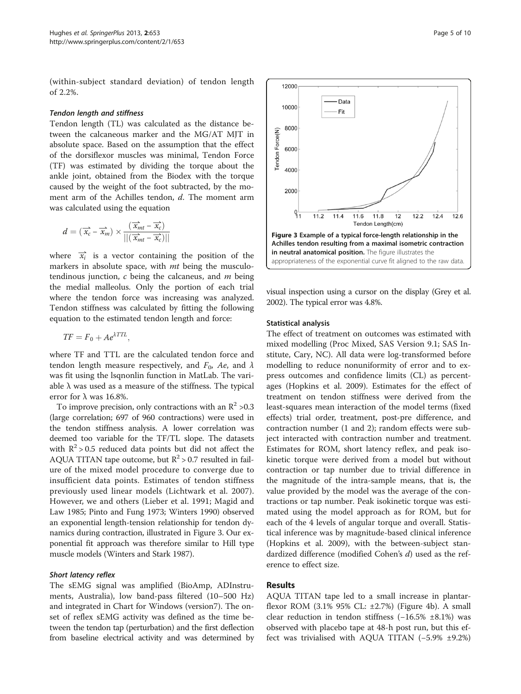(within-subject standard deviation) of tendon length of 2.2%.

#### Tendon length and stiffness

Tendon length (TL) was calculated as the distance between the calcaneous marker and the MG/AT MJT in absolute space. Based on the assumption that the effect of the dorsiflexor muscles was minimal, Tendon Force (TF) was estimated by dividing the torque about the ankle joint, obtained from the Biodex with the torque caused by the weight of the foot subtracted, by the moment arm of the Achilles tendon, d. The moment arm was calculated using the equation

$$
d = (\overrightarrow{x_c} - \overrightarrow{x_m}) \times \frac{(\overrightarrow{x_{mt}} - \overrightarrow{x_c})}{||(\overrightarrow{x_{mt}} - \overrightarrow{x_c})||}
$$

where  $\vec{x}_i$  is a vector containing the position of the markers in absolute space, with *mt* being the musculotendinous junction,  $c$  being the calcaneus, and  $m$  being the medial malleolus. Only the portion of each trial where the tendon force was increasing was analyzed. Tendon stiffness was calculated by fitting the following equation to the estimated tendon length and force:

$$
TF = F_0 + Ae^{\lambda TTL},
$$

where TF and TTL are the calculated tendon force and tendon length measure respectively, and  $F_0$ , Ae, and  $\lambda$ was fit using the lsqnonlin function in MatLab. The variable  $\lambda$  was used as a measure of the stiffness. The typical error for  $λ$  was 16.8%.

To improve precision, only contractions with an  $\mathbb{R}^2$  >0.3 (large correlation; 697 of 960 contractions) were used in the tendon stiffness analysis. A lower correlation was deemed too variable for the TF/TL slope. The datasets with  $R^2 > 0.5$  reduced data points but did not affect the AQUA TITAN tape outcome, but  $R^2 > 0.7$  resulted in failure of the mixed model procedure to converge due to insufficient data points. Estimates of tendon stiffness previously used linear models (Lichtwark et al. [2007](#page-8-0)). However, we and others (Lieber et al. [1991;](#page-8-0) Magid and Law [1985](#page-9-0); Pinto and Fung [1973;](#page-9-0) Winters [1990](#page-9-0)) observed an exponential length-tension relationship for tendon dynamics during contraction, illustrated in Figure 3. Our exponential fit approach was therefore similar to Hill type muscle models (Winters and Stark [1987\)](#page-9-0).

#### Short latency reflex

The sEMG signal was amplified (BioAmp, ADInstruments, Australia), low band-pass filtered (10–500 Hz) and integrated in Chart for Windows (version7). The onset of reflex sEMG activity was defined as the time between the tendon tap (perturbation) and the first deflection from baseline electrical activity and was determined by



visual inspection using a cursor on the display (Grey et al. [2002\)](#page-8-0). The typical error was 4.8%.

#### Statistical analysis

The effect of treatment on outcomes was estimated with mixed modelling (Proc Mixed, SAS Version 9.1; SAS Institute, Cary, NC). All data were log-transformed before modelling to reduce nonuniformity of error and to express outcomes and confidence limits (CL) as percentages (Hopkins et al. [2009](#page-8-0)). Estimates for the effect of treatment on tendon stiffness were derived from the least-squares mean interaction of the model terms (fixed effects) trial order, treatment, post-pre difference, and contraction number (1 and 2); random effects were subject interacted with contraction number and treatment. Estimates for ROM, short latency reflex, and peak isokinetic torque were derived from a model but without contraction or tap number due to trivial difference in the magnitude of the intra-sample means, that is, the value provided by the model was the average of the contractions or tap number. Peak isokinetic torque was estimated using the model approach as for ROM, but for each of the 4 levels of angular torque and overall. Statistical inference was by magnitude-based clinical inference (Hopkins et al. [2009\)](#page-8-0), with the between-subject standardized difference (modified Cohen's d) used as the reference to effect size.

#### Results

AQUA TITAN tape led to a small increase in plantarflexor ROM (3.1% 95% CL: ±2.7%) (Figure [4](#page-5-0)b). A small clear reduction in tendon stiffness (−16.5% ±8.1%) was observed with placebo tape at 48-h post run, but this effect was trivialised with AQUA TITAN (−5.9% ±9.2%)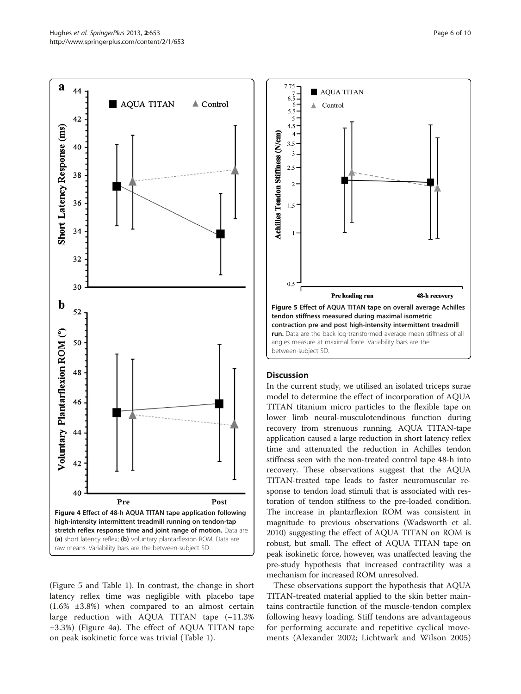<span id="page-5-0"></span>

(Figure 5 and Table [1\)](#page-6-0). In contrast, the change in short latency reflex time was negligible with placebo tape (1.6% ±3.8%) when compared to an almost certain large reduction with AQUA TITAN tape (−11.3% ±3.3%) (Figure 4a). The effect of AQUA TITAN tape on peak isokinetic force was trivial (Table [1\)](#page-6-0).



## **Discussion**

In the current study, we utilised an isolated triceps surae model to determine the effect of incorporation of AQUA TITAN titanium micro particles to the flexible tape on lower limb neural-musculotendinous function during recovery from strenuous running. AQUA TITAN-tape application caused a large reduction in short latency reflex time and attenuated the reduction in Achilles tendon stiffness seen with the non-treated control tape 48-h into recovery. These observations suggest that the AQUA TITAN-treated tape leads to faster neuromuscular response to tendon load stimuli that is associated with restoration of tendon stiffness to the pre-loaded condition. The increase in plantarflexion ROM was consistent in magnitude to previous observations (Wadsworth et al. [2010](#page-9-0)) suggesting the effect of AQUA TITAN on ROM is robust, but small. The effect of AQUA TITAN tape on peak isokinetic force, however, was unaffected leaving the pre-study hypothesis that increased contractility was a mechanism for increased ROM unresolved.

These observations support the hypothesis that AQUA TITAN-treated material applied to the skin better maintains contractile function of the muscle-tendon complex following heavy loading. Stiff tendons are advantageous for performing accurate and repetitive cyclical movements (Alexander [2002](#page-8-0); Lichtwark and Wilson [2005](#page-8-0))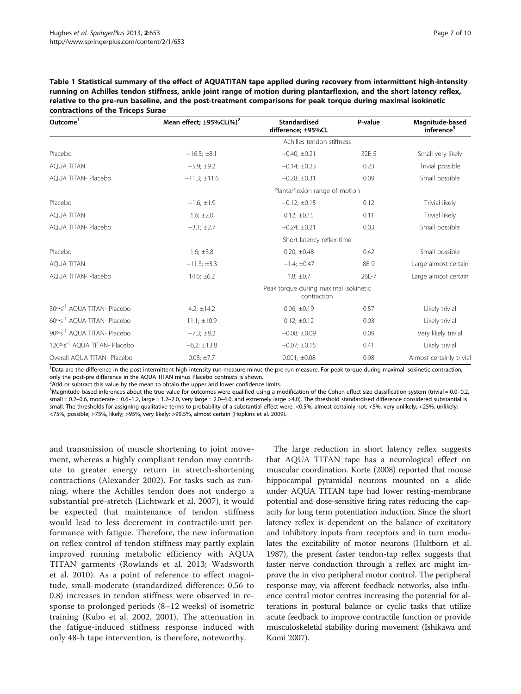<span id="page-6-0"></span>Table 1 Statistical summary of the effect of AQUATITAN tape applied during recovery from intermittent high-intensity running on Achilles tendon stiffness, ankle joint range of motion during plantarflexion, and the short latency reflex, relative to the pre-run baseline, and the post-treatment comparisons for peak torque during maximal isokinetic contractions of the Triceps Surae

| Outcome <sup>1</sup>                     | Mean effect; $\pm$ 95%CL(%) <sup>2</sup>             | <b>Standardised</b><br>difference; ±95%CL | P-value | Magnitude-based<br>inference <sup>3</sup> |
|------------------------------------------|------------------------------------------------------|-------------------------------------------|---------|-------------------------------------------|
|                                          |                                                      | Achilles tendon stiffness                 |         |                                           |
| Placebo                                  | $-16.5; \pm 8.1$                                     | $-0.40; \pm 0.21$                         | 32E-5   | Small very likely                         |
| <b>AQUA TITAN</b>                        | $-5.9; \pm 9.2$                                      | $-0.14; \pm 0.23$                         | 0.23    | Trivial possible                          |
| AQUA TITAN- Placebo                      | $-11.3; \pm 11.6$                                    | $-0.28; \pm 0.31$                         | 0.09    | Small possible                            |
|                                          | Plantarflexion range of motion                       |                                           |         |                                           |
| Placebo                                  | $-1.6; \pm 1.9$                                      | $-0.12; \pm 0.15$                         | 0.12    | Trivial likely                            |
| <b>AQUA TITAN</b>                        | $1.6; \pm 2.0$                                       | $0.12; \pm 0.15$                          | 0.11    | Trivial likely                            |
| AQUA TITAN- Placebo                      | $-3.1; \pm 2.7$                                      | $-0.24; \pm 0.21$                         | 0.03    | Small possible                            |
|                                          | Short latency reflex time                            |                                           |         |                                           |
| Placebo                                  | $1.6; \pm 3.8$                                       | $0.20; \pm 0.48$                          | 0.42    | Small possible                            |
| <b>AOUA TITAN</b>                        | $-11.3; \pm 3.3$                                     | $-1.4; \pm 0.47$                          | 8E-9    | Large almost certain                      |
| AOUA TITAN- Placebo                      | $14.6; \pm 6.2$                                      | $1.8; \pm 0.7$                            | 26E-7   | Large almost certain                      |
|                                          | Peak torque during maximal isokinetic<br>contraction |                                           |         |                                           |
| 30°·s <sup>-1</sup> AQUA TITAN- Placebo  | 4.2; $\pm$ 14.2                                      | $0.06; \pm 0.19$                          | 0.57    | Likely trivial                            |
| 60°·s <sup>-1</sup> AQUA TITAN- Placebo  | $11.1; \pm 10.9$                                     | $0.12; \pm 0.12$                          | 0.03    | Likely trivial                            |
| 90°·s <sup>-1</sup> AQUA TITAN- Placebo  | $-7.3; \pm 8.2$                                      | $-0.08; \pm 0.09$                         | 0.09    | Very likely trivial                       |
| 120°·s <sup>-1</sup> AQUA TITAN- Placebo | $-6.2; \pm 13.8$                                     | $-0.07; \pm 0.15$                         | 0.41    | Likely trivial                            |
| Overall AQUA TITAN- Placebo              | $0.08; \pm 7.7$                                      | $0.001; \pm 0.08$                         | 0.98    | Almost certainly trivial                  |

<sup>1</sup>Data are the difference in the post intermittent high-intensity run measure minus the pre run measure. For peak torque during maximal isokinetic contraction, only the post-pre difference in the AQUA TITAN minus Placebo contrasts is shown.

 $2$ Add or subtract this value by the mean to obtain the upper and lower confidence limits.

3 Magnitude-based inferences about the true value for outcomes were qualified using a modification of the Cohen effect size classification system (trivial = 0.0–0.2, small = 0.2–0.6, moderate = 0.6–1.2, large = 1.2–2.0, very large = 2.0–4.0, and extremely large >4.0). The threshold standardised difference considered substantial is small. The thresholds for assigning qualitative terms to probability of a substantial effect were: <0.5%, almost certainly not; <5%, very unlikely; <25%, unlikely; <75%, possible; >75%, likely; >95%, very likely; >99.5%, almost certain (Hopkins et al. [2009](#page-8-0)).

and transmission of muscle shortening to joint movement, whereas a highly compliant tendon may contribute to greater energy return in stretch-shortening contractions (Alexander [2002\)](#page-8-0). For tasks such as running, where the Achilles tendon does not undergo a substantial pre-stretch (Lichtwark et al. [2007](#page-8-0)), it would be expected that maintenance of tendon stiffness would lead to less decrement in contractile-unit performance with fatigue. Therefore, the new information on reflex control of tendon stiffness may partly explain improved running metabolic efficiency with AQUA TITAN garments (Rowlands et al. [2013](#page-9-0); Wadsworth et al. [2010](#page-9-0)). As a point of reference to effect magnitude, small-moderate (standardized difference: 0.56 to 0.8) increases in tendon stiffness were observed in response to prolonged periods (8–12 weeks) of isometric training (Kubo et al. [2002](#page-8-0), [2001](#page-8-0)). The attenuation in the fatigue-induced stiffness response induced with only 48-h tape intervention, is therefore, noteworthy.

The large reduction in short latency reflex suggests that AQUA TITAN tape has a neurological effect on muscular coordination. Korte [\(2008](#page-8-0)) reported that mouse hippocampal pyramidal neurons mounted on a slide under AQUA TITAN tape had lower resting-membrane potential and dose-sensitive firing rates reducing the capacity for long term potentiation induction. Since the short latency reflex is dependent on the balance of excitatory and inhibitory inputs from receptors and in turn modulates the excitability of motor neurons (Hultborn et al. [1987\)](#page-8-0), the present faster tendon-tap reflex suggests that faster nerve conduction through a reflex arc might improve the in vivo peripheral motor control. The peripheral response may, via afferent feedback networks, also influence central motor centres increasing the potential for alterations in postural balance or cyclic tasks that utilize acute feedback to improve contractile function or provide musculoskeletal stability during movement (Ishikawa and Komi [2007\)](#page-8-0).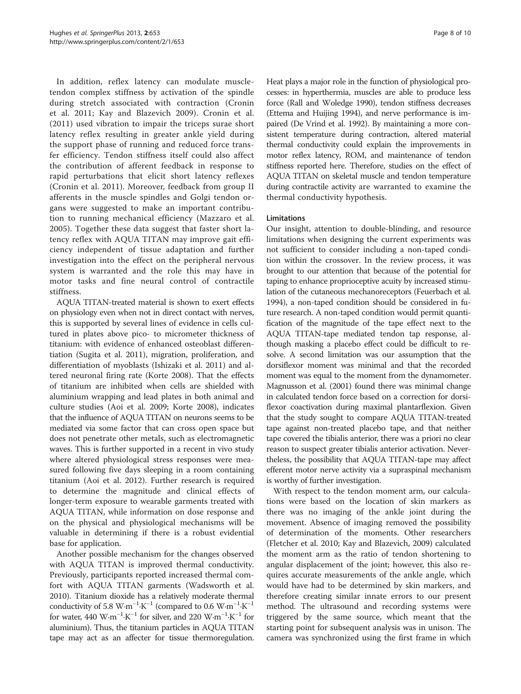In addition, reflex latency can modulate muscletendon complex stiffness by activation of the spindle during stretch associated with contraction (Cronin et al. [2011](#page-8-0); Kay and Blazevich [2009](#page-8-0)). Cronin et al. ([2011](#page-8-0)) used vibration to impair the triceps surae short latency reflex resulting in greater ankle yield during the support phase of running and reduced force transfer efficiency. Tendon stiffness itself could also affect the contribution of afferent feedback in response to rapid perturbations that elicit short latency reflexes (Cronin et al. [2011](#page-8-0)). Moreover, feedback from group II afferents in the muscle spindles and Golgi tendon organs were suggested to make an important contribution to running mechanical efficiency (Mazzaro et al. [2005\)](#page-9-0). Together these data suggest that faster short latency reflex with AQUA TITAN may improve gait efficiency independent of tissue adaptation and further investigation into the effect on the peripheral nervous system is warranted and the role this may have in motor tasks and fine neural control of contractile stiffness.

AQUA TITAN-treated material is shown to exert effects on physiology even when not in direct contact with nerves, this is supported by several lines of evidence in cells cultured in plates above pico- to micrometer thickness of titanium: with evidence of enhanced osteoblast differentiation (Sugita et al. [2011\)](#page-9-0), migration, proliferation, and differentiation of myoblasts (Ishizaki et al. [2011\)](#page-8-0) and altered neuronal firing rate (Korte [2008\)](#page-8-0). That the effects of titanium are inhibited when cells are shielded with aluminium wrapping and lead plates in both animal and culture studies (Aoi et al. [2009;](#page-8-0) Korte [2008\)](#page-8-0), indicates that the influence of AQUA TITAN on neurons seems to be mediated via some factor that can cross open space but does not penetrate other metals, such as electromagnetic waves. This is further supported in a recent in vivo study where altered physiological stress responses were measured following five days sleeping in a room containing titanium (Aoi et al. [2012\)](#page-8-0). Further research is required to determine the magnitude and clinical effects of longer-term exposure to wearable garments treated with AQUA TITAN, while information on dose response and on the physical and physiological mechanisms will be valuable in determining if there is a robust evidential base for application.

Another possible mechanism for the changes observed with AQUA TITAN is improved thermal conductivity. Previously, participants reported increased thermal comfort with AQUA TITAN garments (Wadsworth et al. [2010](#page-9-0)). Titanium dioxide has a relatively moderate thermal conductivity of 5.8 W⋅m<sup>-1</sup>⋅K<sup>-1</sup> (compared to 0.6 W⋅m<sup>-1</sup>⋅K<sup>-1</sup> for water, 440 W⋅m<sup>-1</sup>⋅K<sup>-1</sup> for silver, and 220 W⋅m<sup>-1</sup>⋅K<sup>-1</sup> for aluminium). Thus, the titanium particles in AQUA TITAN tape may act as an affecter for tissue thermoregulation. Heat plays a major role in the function of physiological processes: in hyperthermia, muscles are able to produce less force (Rall and Woledge [1990](#page-9-0)), tendon stiffness decreases (Ettema and Huijing [1994](#page-8-0)), and nerve performance is impaired (De Vrind et al. [1992](#page-8-0)). By maintaining a more consistent temperature during contraction, altered material thermal conductivity could explain the improvements in motor reflex latency, ROM, and maintenance of tendon stiffness reported here. Therefore, studies on the effect of AQUA TITAN on skeletal muscle and tendon temperature during contractile activity are warranted to examine the thermal conductivity hypothesis.

## Limitations

Our insight, attention to double-blinding, and resource limitations when designing the current experiments was not sufficient to consider including a non-taped condition within the crossover. In the review process, it was brought to our attention that because of the potential for taping to enhance proprioceptive acuity by increased stimulation of the cutaneous mechanoreceptors (Feuerbach et al. [1994\)](#page-8-0), a non-taped condition should be considered in future research. A non-taped condition would permit quantification of the magnitude of the tape effect next to the AQUA TITAN-tape mediated tendon tap response, although masking a placebo effect could be difficult to resolve. A second limitation was our assumption that the dorsiflexor moment was minimal and that the recorded moment was equal to the moment from the dynamometer. Magnusson et al. [\(2001](#page-9-0)) found there was minimal change in calculated tendon force based on a correction for dorsiflexor coactivation during maximal plantarflexion. Given that the study sought to compare AQUA TITAN-treated tape against non-treated placebo tape, and that neither tape covered the tibialis anterior, there was a priori no clear reason to suspect greater tibialis anterior activation. Nevertheless, the possibility that AQUA TITAN-tape may affect efferent motor nerve activity via a supraspinal mechanism is worthy of further investigation.

With respect to the tendon moment arm, our calculations were based on the location of skin markers as there was no imaging of the ankle joint during the movement. Absence of imaging removed the possibility of determination of the moments. Other researchers (Fletcher et al. [2010](#page-8-0); Kay and Blazevich, [2009\)](#page-8-0) calculated the moment arm as the ratio of tendon shortening to angular displacement of the joint; however, this also requires accurate measurements of the ankle angle, which would have had to be determined by skin markers, and therefore creating similar innate errors to our present method. The ultrasound and recording systems were triggered by the same source, which meant that the starting point for subsequent analysis was in unison. The camera was synchronized using the first frame in which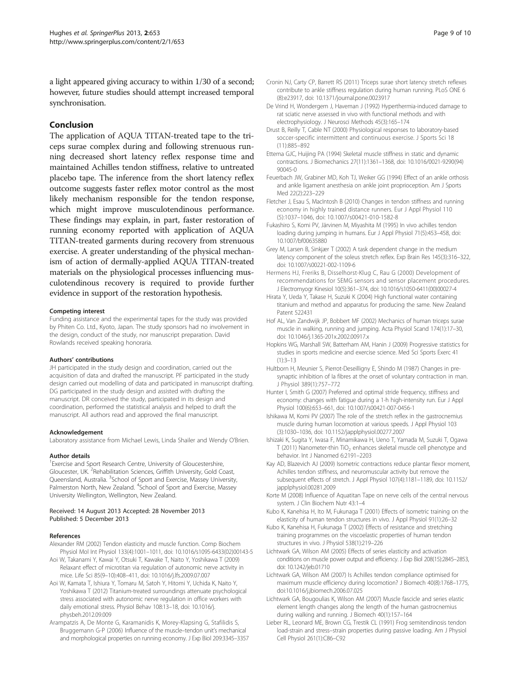<span id="page-8-0"></span>a light appeared giving accuracy to within 1/30 of a second; however, future studies should attempt increased temporal synchronisation.

## Conclusion

The application of AQUA TITAN-treated tape to the triceps surae complex during and following strenuous running decreased short latency reflex response time and maintained Achilles tendon stiffness, relative to untreated placebo tape. The inference from the short latency reflex outcome suggests faster reflex motor control as the most likely mechanism responsible for the tendon response, which might improve musculotendinous performance. These findings may explain, in part, faster restoration of running economy reported with application of AQUA TITAN-treated garments during recovery from strenuous exercise. A greater understanding of the physical mechanism of action of dermally-applied AQUA TITAN-treated materials on the physiological processes influencing musculotendinous recovery is required to provide further evidence in support of the restoration hypothesis.

#### Competing interest

Funding assistance and the experimental tapes for the study was provided by Phiten Co. Ltd., Kyoto, Japan. The study sponsors had no involvement in the design, conduct of the study, nor manuscript preparation. David Rowlands received speaking honoraria.

#### Authors' contributions

JH participated in the study design and coordination, carried out the acquisition of data and drafted the manuscript. PF participated in the study design carried out modelling of data and participated in manuscript drafting. DG participated in the study design and assisted with drafting the manuscript. DR conceived the study, participated in its design and coordination, performed the statistical analysis and helped to draft the manuscript. All authors read and approved the final manuscript.

#### Acknowledgement

Laboratory assistance from Michael Lewis, Linda Shailer and Wendy O'Brien.

#### Author details

<sup>1</sup> Exercise and Sport Research Centre, University of Gloucestershire, Gloucester, UK.<sup>2</sup> Rehabilitation Sciences, Griffith University, Gold Coast, Queensland, Australia. <sup>3</sup>School of Sport and Exercise, Massey University, Palmerston North, New Zealand. <sup>4</sup>School of Sport and Exercise, Massey University Wellington, Wellington, New Zealand.

#### Received: 14 August 2013 Accepted: 28 November 2013 Published: 5 December 2013

#### References

- Alexander RM (2002) Tendon elasticity and muscle function. Comp Biochem Physiol Mol Int Physiol 133(4):1001–1011, doi: 10.1016/s1095-6433(02)00143-5
- Aoi W, Takanami Y, Kawai Y, Otsuki T, Kawake T, Naito Y, Yoshikawa T (2009) Relaxant effect of microtitan via regulation of autonomic nerve activity in mice. Life Sci 85(9–10):408–411, doi: 10.1016/j.lfs.2009.07.007
- Aoi W, Kamata T, Ishiura Y, Tomaru M, Satoh Y, Hitomi Y, Uchida K, Naito Y, Yoshikawa T (2012) Titanium-treated surroundings attenuate psychological stress associated with autonomic nerve regulation in office workers with daily emotional stress. Physiol Behav 108:13–18, doi: 10.1016/j. physbeh.2012.09.009
- Arampatzis A, De Monte G, Karamanidis K, Morey-Klapsing G, Stafilidis S, Bruggemann G-P (2006) Influence of the muscle–tendon unit's mechanical and morphological properties on running economy. J Exp Biol 209:3345–3357
- Cronin NJ, Carty CP, Barrett RS (2011) Triceps surae short latency stretch reflexes contribute to ankle stiffness regulation during human running. PLoS ONE 6 (8):e23917, doi: 10.1371/journal.pone.0023917
- De Vrind H, Wondergem J, Haveman J (1992) Hyperthermia-induced damage to rat sciatic nerve assessed in vivo with functional methods and with electrophysiology. J Neurosci Methods 45(3):165–174
- Drust B, Reilly T, Cable NT (2000) Physiological responses to laboratory-based soccer-specific intermittent and continuous exercise. J Sports Sci 18 (11):885–892
- Ettema GJC, Huijing PA (1994) Skeletal muscle stiffness in static and dynamic contractions. J Biomechanics 27(11):1361–1368, doi: 10.1016/0021-9290(94) 90045-0
- Feuerbach JW, Grabiner MD, Koh TJ, Weiker GG (1994) Effect of an ankle orthosis and ankle ligament anesthesia on ankle joint proprioception. Am J Sports Med 22(2):223–229
- Fletcher J, Esau S, MacIntosh B (2010) Changes in tendon stiffness and running economy in highly trained distance runners. Eur J Appl Physiol 110 (5):1037–1046, doi: 10.1007/s00421-010-1582-8
- Fukashiro S, Komi PV, Järvinen M, Miyashita M (1995) In vivo achilles tendon loading during jumping in humans. Eur J Appl Physiol 71(5):453–458, doi: 10.1007/bf00635880
- Grey M, Larsen B, Sinkjær T (2002) A task dependent change in the medium latency component of the soleus stretch reflex. Exp Brain Res 145(3):316–322, doi: 10.1007/s00221-002-1109-6
- Hermens HJ, Freriks B, Disselhorst-Klug C, Rau G (2000) Development of recommendations for SEMG sensors and sensor placement procedures. J Electromyogr Kinesiol 10(5):361–374, doi: 10.1016/s1050-6411(00)00027-4
- Hirata Y, Ueda Y, Takase H, Suzuki K (2004) High functional water containing titanium and method and apparatus for producing the same. New Zealand Patent 522431
- Hof AL, Van Zandwijk JP, Bobbert MF (2002) Mechanics of human triceps surae muscle in walking, running and jumping. Acta Physiol Scand 174(1):17–30, doi: 10.1046/j.1365-201x.2002.00917.x
- Hopkins WG, Marshall SW, Batterham AM, Hanin J (2009) Progressive statistics for studies in sports medicine and exercise science. Med Sci Sports Exerc 41 (1):3–13
- Hultborn H, Meunier S, Pierrot-Deseilligny E, Shindo M (1987) Changes in presynaptic inhibition of Ia fibres at the onset of voluntary contraction in man. J Physiol 389(1):757–772
- Hunter I, Smith G (2007) Preferred and optimal stride frequency, stiffness and economy: changes with fatigue during a 1-h high-intensity run. Eur J Appl Physiol 100(6):653–661, doi: 10.1007/s00421-007-0456-1
- Ishikawa M, Komi PV (2007) The role of the stretch reflex in the gastrocnemius muscle during human locomotion at various speeds. J Appl Physiol 103 (3):1030–1036, doi: 10.1152/japplphysiol.00277.2007
- Ishizaki K, Sugita Y, Iwasa F, Minamikawa H, Ueno T, Yamada M, Suzuki T, Ogawa T (2011) Nanometer-thin  $TiO<sub>2</sub>$  enhances skeletal muscle cell phenotype and behavior. Int J Nanomed 6:2191–2203
- Kay AD, Blazevich AJ (2009) Isometric contractions reduce plantar flexor moment, Achilles tendon stiffness, and neuromuscular activity but remove the subsequent effects of stretch. J Appl Physiol 107(4):1181–1189, doi: 10.1152/ japplphysiol.00281.2009
- Korte M (2008) Influence of Aquatitan Tape on nerve cells of the central nervous system. J Clin Biochem Nutr 43:1–4
- Kubo K, Kanehisa H, Ito M, Fukunaga T (2001) Effects of isometric training on the elasticity of human tendon structures in vivo. J Appl Physiol 91(1):26–32
- Kubo K, Kanehisa H, Fukunaga T (2002) Effects of resistance and stretching training programmes on the viscoelastic properties of human tendon structures in vivo. J Physiol 538(1):219–226
- Lichtwark GA, Wilson AM (2005) Effects of series elasticity and activation conditions on muscle power output and efficiency. J Exp Biol 208(15):2845–2853, doi: 10.1242/jeb.01710
- Lichtwark GA, Wilson AM (2007) Is Achilles tendon compliance optimised for maximum muscle efficiency during locomotion? J Biomech 40(8):1768–1775, doi:10.1016/j.jbiomech.2006.07.025
- Lichtwark GA, Bougoulias K, Wilson AM (2007) Muscle fascicle and series elastic element length changes along the length of the human gastrocnemius during walking and running. J Biomech 40(1):157–164
- Lieber RL, Leonard ME, Brown CG, Trestik CL (1991) Frog semitendinosis tendon load-strain and stress–strain properties during passive loading. Am J Physiol Cell Physiol 261(1):C86–C92